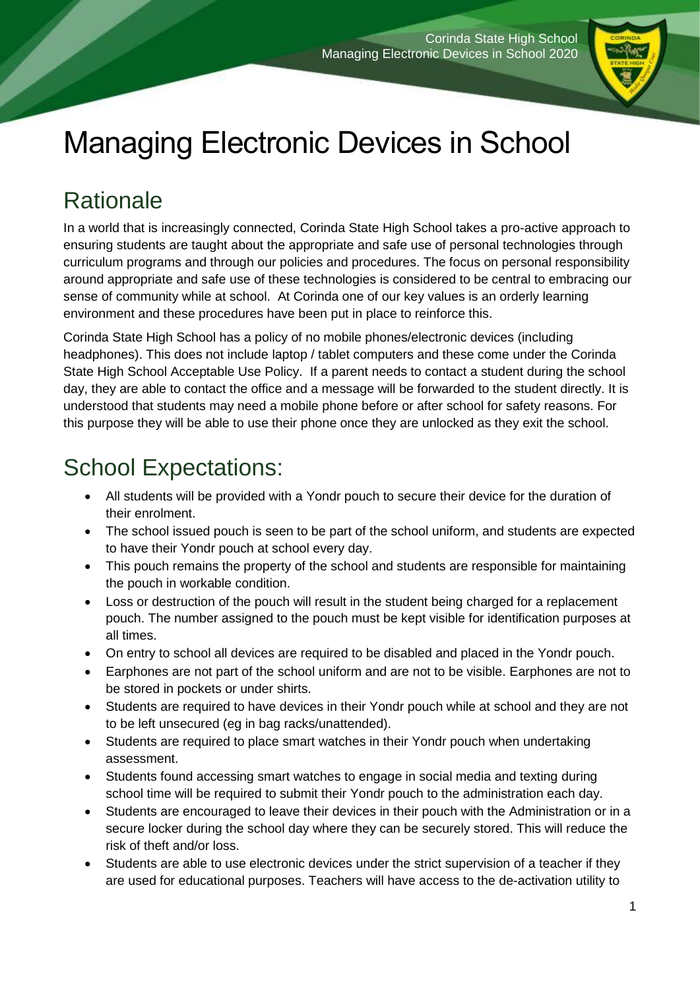

# Managing Electronic Devices in School

# **Rationale**

In a world that is increasingly connected, Corinda State High School takes a pro-active approach to ensuring students are taught about the appropriate and safe use of personal technologies through curriculum programs and through our policies and procedures. The focus on personal responsibility around appropriate and safe use of these technologies is considered to be central to embracing our sense of community while at school. At Corinda one of our key values is an orderly learning environment and these procedures have been put in place to reinforce this.

Corinda State High School has a policy of no mobile phones/electronic devices (including headphones). This does not include laptop / tablet computers and these come under the Corinda State High School Acceptable Use Policy. If a parent needs to contact a student during the school day, they are able to contact the office and a message will be forwarded to the student directly. It is understood that students may need a mobile phone before or after school for safety reasons. For this purpose they will be able to use their phone once they are unlocked as they exit the school.

## School Expectations:

- All students will be provided with a Yondr pouch to secure their device for the duration of their enrolment.
- The school issued pouch is seen to be part of the school uniform, and students are expected to have their Yondr pouch at school every day.
- This pouch remains the property of the school and students are responsible for maintaining the pouch in workable condition.
- Loss or destruction of the pouch will result in the student being charged for a replacement pouch. The number assigned to the pouch must be kept visible for identification purposes at all times.
- On entry to school all devices are required to be disabled and placed in the Yondr pouch.
- Earphones are not part of the school uniform and are not to be visible. Earphones are not to be stored in pockets or under shirts.
- Students are required to have devices in their Yondr pouch while at school and they are not to be left unsecured (eg in bag racks/unattended).
- Students are required to place smart watches in their Yondr pouch when undertaking assessment.
- Students found accessing smart watches to engage in social media and texting during school time will be required to submit their Yondr pouch to the administration each day.
- Students are encouraged to leave their devices in their pouch with the Administration or in a secure locker during the school day where they can be securely stored. This will reduce the risk of theft and/or loss.
- Students are able to use electronic devices under the strict supervision of a teacher if they are used for educational purposes. Teachers will have access to the de-activation utility to